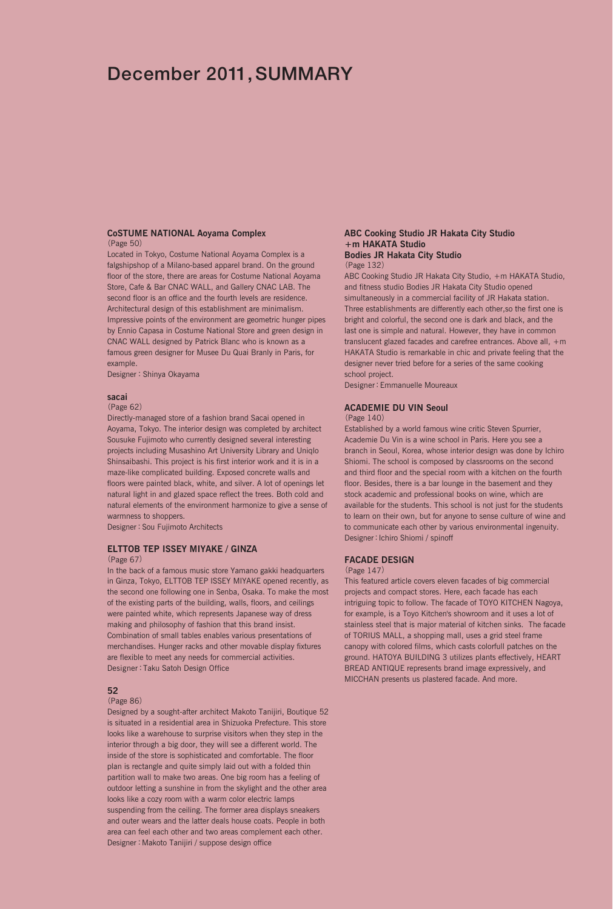# December 2011, SUMMARY

### **CoSTUME NATIONAL Aoyama Complex** (Page 50)

Located in Tokyo, Costume National Aoyama Complex is a falgshipshop of a Milano-based apparel brand. On the ground floor of the store, there are areas for Costume National Aoyama Store, Cafe & Bar CNAC WALL, and Gallery CNAC LAB. The second floor is an office and the fourth levels are residence. Architectural design of this establishment are minimalism. Impressive points of the environment are geometric hunger pipes by Ennio Capasa in Costume National Store and green design in CNAC WALL designed by Patrick Blanc who is known as a famous green designer for Musee Du Quai Branly in Paris, for example.

Designer:Shinya Okayama

## **sacai**

## (Page 62)

Directly-managed store of a fashion brand Sacai opened in Aoyama, Tokyo. The interior design was completed by architect Sousuke Fujimoto who currently designed several interesting projects including Musashino Art University Library and Uniqlo Shinsaibashi. This project is his first interior work and it is in a maze-like complicated building. Exposed concrete walls and floors were painted black, white, and silver. A lot of openings let natural light in and glazed space reflect the trees. Both cold and natural elements of the environment harmonize to give a sense of warmness to shoppers.

Designer: Sou Fujimoto Architects

## **ELTTOB TEP ISSEY MIYAKE / GINZA**

### (Page 67)

In the back of a famous music store Yamano gakki headquarters in Ginza, Tokyo, ELTTOB TEP ISSEY MIYAKE opened recently, as the second one following one in Senba, Osaka. To make the most of the existing parts of the building, walls, floors, and ceilings were painted white, which represents Japanese way of dress making and philosophy of fashion that this brand insist. Combination of small tables enables various presentations of merchandises. Hunger racks and other movable display fixtures are flexible to meet any needs for commercial activities. Designer:Taku Satoh Design Office

### **52**

### (Page 86)

Designed by a sought-after architect Makoto Tanijiri, Boutique 52 is situated in a residential area in Shizuoka Prefecture. This store looks like a warehouse to surprise visitors when they step in the interior through a big door, they will see a different world. The inside of the store is sophisticated and comfortable. The floor plan is rectangle and quite simply laid out with a folded thin partition wall to make two areas. One big room has a feeling of outdoor letting a sunshine in from the skylight and the other area looks like a cozy room with a warm color electric lamps suspending from the ceiling. The former area displays sneakers and outer wears and the latter deals house coats. People in both area can feel each other and two areas complement each other. Designer:Makoto Tanijiri / suppose design office

### **ABC Cooking Studio JR Hakata City Studio +m HAKATA Studio Bodies JR Hakata City Studio**

#### (Page 132)

ABC Cooking Studio JR Hakata City Studio, +m HAKATA Studio, and fitness studio Bodies JR Hakata City Studio opened simultaneously in a commercial facility of JR Hakata station. Three establishments are differently each other,so the first one is bright and colorful, the second one is dark and black, and the last one is simple and natural. However, they have in common translucent glazed facades and carefree entrances. Above all, +m HAKATA Studio is remarkable in chic and private feeling that the designer never tried before for a series of the same cooking school project.

Designer:Emmanuelle Moureaux

#### **ACADEMIE DU VIN Seoul**

#### (Page 140)

Established by a world famous wine critic Steven Spurrier, Academie Du Vin is a wine school in Paris. Here you see a branch in Seoul, Korea, whose interior design was done by Ichiro Shiomi. The school is composed by classrooms on the second and third floor and the special room with a kitchen on the fourth floor. Besides, there is a bar lounge in the basement and they stock academic and professional books on wine, which are available for the students. This school is not just for the students to learn on their own, but for anyone to sense culture of wine and to communicate each other by various environmental ingenuity. Designer: Ichiro Shiomi / spinoff

## **FACADE DESIGN**

#### (Page 147)

This featured article covers eleven facades of big commercial projects and compact stores. Here, each facade has each intriguing topic to follow. The facade of TOYO KITCHEN Nagoya, for example, is a Toyo Kitchen's showroom and it uses a lot of stainless steel that is major material of kitchen sinks. The facade of TORIUS MALL, a shopping mall, uses a grid steel frame canopy with colored films, which casts colorfull patches on the ground. HATOYA BUILDING 3 utilizes plants effectively, HEART BREAD ANTIQUE represents brand image expressively, and MICCHAN presents us plastered facade. And more.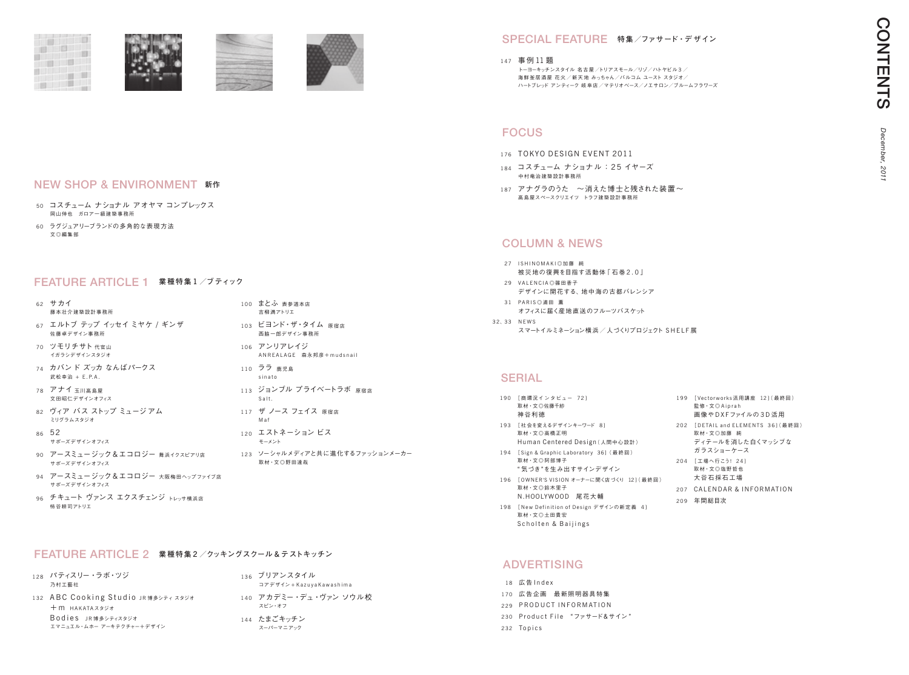works 活用講座 12](最終回)  $\bigcirc$  A in rah D X F ファイルの 3 D 活 用 . and ELEMENTS 361(最終回) 取材・文◎加藤 純 ディテールを消した白くマッシブな ガラスショーケース -<br>テこう! 24] 取材・文◎塩野哲也 採石工場 DAR & INFORMATION 1次

取材・文◎土田貴宏 Scholten & Baijings

# **ADVERTISING**

18 広告 Index 170 広告企画 最新照明器具特集 229 PRODUCT INFORMATION 230 Product File "ファサード&サイン" 232 Topics

|     | 190 「商環況インタビュー 721<br>取材·文◎佐藤千紗<br>神谷利徳                            | 199 | [ Vectorw<br>監修・文C<br>画像やD                   |
|-----|--------------------------------------------------------------------|-----|----------------------------------------------|
| 193 | [社会を変えるデザインキーワード 8]<br>取材·文◎高橋正明<br>Human Centered Design (人間中心設計) | 202 | <b><i><u>DETAIL</u></i></b><br>取材·文C<br>ディテー |
| 194 | [Sign & Graphic Laboratory 36] (最終回)<br>取材·文◎阿部博子                  | 204 | ガラスシ<br>「工場へ行                                |
|     | " 気づき"を生み出すサインデザイン                                                 |     | 取材·文C                                        |
|     | 196 「OWNER'S VISION オーナーに聞く店づくり 121(最終回)<br>取材·文◎鈴木里子              |     | 大谷石杉                                         |
|     | N.HOOLYWOOD 尾花大輔                                                   | 207 | CALENI                                       |
|     | 198 [New Definition of Design デザインの新定義 4]                          | 209 | 年間総目                                         |

- <sup>176</sup> TOKYO DESIGN EVENT 2011
- <sup>184</sup> コスチューム ナショナル:25 イヤーズ 中村竜治建築設計事務所
- 187 アナグラのうた ~消えた博士と残された装置~ 髙島屋スペースクリエイツ トラフ建築設計事務所

# COLUMN & NEWS

- 27 ISHINOMAKI◎加藤 純 被災地の復興を目指す活動体「石巻2.0」
- 29 VAI FN CIA ◎篠田香子 デザインに開花する、地中海の古都バレンシア
- 31 PARIS ◎浦田 薫 オフィスに届く産地直送のフルーツバスケット 32、33 N E W S
	- スマートイルミネーション横浜 / 人づくりプロジェクト SHELF展

## **SERIAL**

190

193

# FOCUS

- 50 コスチューム ナショナル アオヤマ コンプレックス 岡山伸也 ガロア一級建築事務所
- 60 ラグジュアリーブランドの多角的な表現方法 文◎編集部



# NEW SHOP & ENVIRONMENT **新作**

- 62 サカイ 藤本壮介建築設計事務所
- <sup>67</sup> エルトブ テップ イッセイ ミヤケ / ギンザ 佐藤卓デザイン事務所
- 70 ツモリチサト 代官山 イガラシデザインスタジオ
- 74 カバンド ズッカ なんばパークス 武松幸治 + E.P.A.
- 78 アナイ 玉川髙島屋 文田昭仁デザインオフィス
- 82 ヴィア バス ストップ ミュージアム ミリグラムスタジオ
- 86 52 サポーズデザインオフィス
- 90 アースミュージック&エコロジー 舞浜イクスピアリ店 サポーズデザインオフィス
- 94 アースミュージック&エコロジー 大阪梅田ヘップファイブ店 サポーズデザインオフィス
- 96 チキュート ヴァンス エクスチェンジ トレッサ横浜店 柿谷耕司アトリエ

## FEATURE ARTICLE 1 **業種特集** <sup>1</sup> **/ブティック**

- 100 まとふ 表参道本店 吉柳満アトリエ 103 ビヨンド・ザ・タイム 原宿店
- 西脇一郎デザイン事務所
- 106 アンリアレイジ A N R E A L A G E 森永邦彦+mud s n a i l
- 110 ララ 鹿児島 s i n a t o
- 113 ジョンブル プライベートラボ 原宿店 Salt.
- 117 ザ ノース フェイス 原宿店 M a f
- 120 エストネーション ビス モーメント
- 123 ソーシャルメディアと共に進化するファッションメーカー 取材・文◎野田達哉

## <sup>147</sup> 事例 11 題

トーヨーキッチンスタイル 名古屋/トリアスモール/リゾ/ハトヤビル 3 / 海鮮釜居酒屋 花火/新天地 みっちゃん/バルコム ユースト スタジオ/ ハートブレッド アンティーク 岐阜店/マテリオベース/ノエサロン/ブルームフラワーズ

## SPECIAL FEATURE **特集/ファサード・デ ザイン**

- 128 パティスリー・ラボ・ツジ 乃村工藝社 132 ABC Cooking Studio JR博多シティスタジオ
	- $+m$  HAKATA $72$ Bodies JR博多シティスタジオ エマニュエル・ムホー アーキテクチャー+デザイン

## FEATURE ARTICLE 2 **業種特集** <sup>2</sup> **/クッキングスクール** & **テストキッチン**

- 136 ブリアンスタイル コアデザイン + K a z u v a K a w a s h i m a 140 アカデミー・デュ・ヴァン ソウル校
- スピン・オフ 144 たまごキッチン
- スーパーマニアック